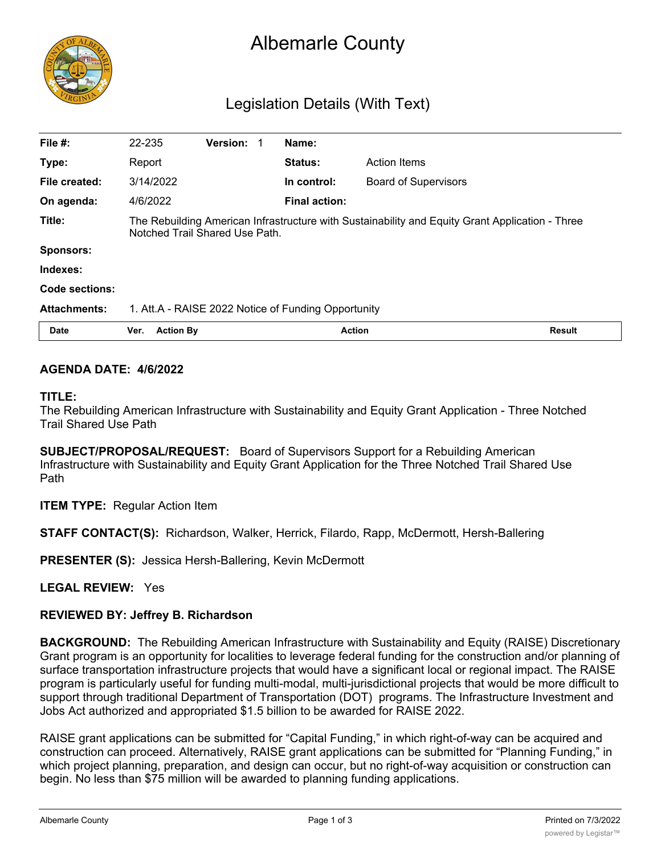

# Albemarle County

# Legislation Details (With Text)

| File #:             | 22-235                                                                                                                            | Version: 1 |  | Name:                |                             |
|---------------------|-----------------------------------------------------------------------------------------------------------------------------------|------------|--|----------------------|-----------------------------|
| Type:               | Report                                                                                                                            |            |  | <b>Status:</b>       | <b>Action Items</b>         |
| File created:       | 3/14/2022                                                                                                                         |            |  | In control:          | <b>Board of Supervisors</b> |
| On agenda:          | 4/6/2022                                                                                                                          |            |  | <b>Final action:</b> |                             |
| Title:              | The Rebuilding American Infrastructure with Sustainability and Equity Grant Application - Three<br>Notched Trail Shared Use Path. |            |  |                      |                             |
| <b>Sponsors:</b>    |                                                                                                                                   |            |  |                      |                             |
| Indexes:            |                                                                                                                                   |            |  |                      |                             |
| Code sections:      |                                                                                                                                   |            |  |                      |                             |
| <b>Attachments:</b> | 1. Att.A - RAISE 2022 Notice of Funding Opportunity                                                                               |            |  |                      |                             |
| <b>Date</b>         | <b>Action By</b><br>Ver.                                                                                                          |            |  | <b>Action</b>        | <b>Result</b>               |

# **AGENDA DATE: 4/6/2022**

#### **TITLE:**

The Rebuilding American Infrastructure with Sustainability and Equity Grant Application - Three Notched Trail Shared Use Path

**SUBJECT/PROPOSAL/REQUEST:** Board of Supervisors Support for a Rebuilding American Infrastructure with Sustainability and Equity Grant Application for the Three Notched Trail Shared Use Path

**ITEM TYPE:** Regular Action Item

**STAFF CONTACT(S):** Richardson, Walker, Herrick, Filardo, Rapp, McDermott, Hersh-Ballering

**PRESENTER (S):** Jessica Hersh-Ballering, Kevin McDermott

**LEGAL REVIEW:** Yes

## **REVIEWED BY: Jeffrey B. Richardson**

**BACKGROUND:** The Rebuilding American Infrastructure with Sustainability and Equity (RAISE) Discretionary Grant program is an opportunity for localities to leverage federal funding for the construction and/or planning of surface transportation infrastructure projects that would have a significant local or regional impact. The RAISE program is particularly useful for funding multi-modal, multi-jurisdictional projects that would be more difficult to support through traditional Department of Transportation (DOT) programs. The Infrastructure Investment and Jobs Act authorized and appropriated \$1.5 billion to be awarded for RAISE 2022.

RAISE grant applications can be submitted for "Capital Funding," in which right-of-way can be acquired and construction can proceed. Alternatively, RAISE grant applications can be submitted for "Planning Funding," in which project planning, preparation, and design can occur, but no right-of-way acquisition or construction can begin. No less than \$75 million will be awarded to planning funding applications.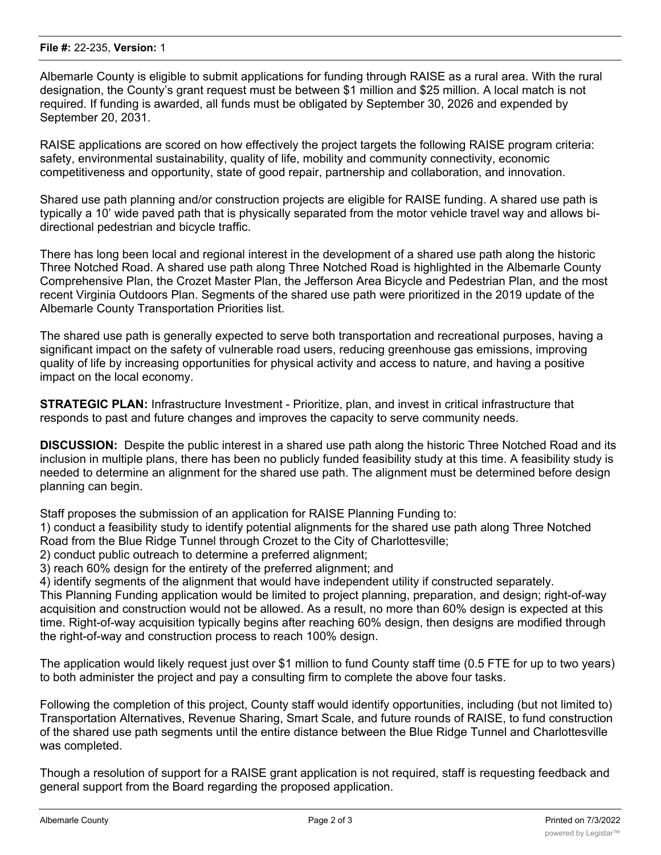Albemarle County is eligible to submit applications for funding through RAISE as a rural area. With the rural designation, the County's grant request must be between \$1 million and \$25 million. A local match is not required. If funding is awarded, all funds must be obligated by September 30, 2026 and expended by September 20, 2031.

RAISE applications are scored on how effectively the project targets the following RAISE program criteria: safety, environmental sustainability, quality of life, mobility and community connectivity, economic competitiveness and opportunity, state of good repair, partnership and collaboration, and innovation.

Shared use path planning and/or construction projects are eligible for RAISE funding. A shared use path is typically a 10' wide paved path that is physically separated from the motor vehicle travel way and allows bidirectional pedestrian and bicycle traffic.

There has long been local and regional interest in the development of a shared use path along the historic Three Notched Road. A shared use path along Three Notched Road is highlighted in the Albemarle County Comprehensive Plan, the Crozet Master Plan, the Jefferson Area Bicycle and Pedestrian Plan, and the most recent Virginia Outdoors Plan. Segments of the shared use path were prioritized in the 2019 update of the Albemarle County Transportation Priorities list.

The shared use path is generally expected to serve both transportation and recreational purposes, having a significant impact on the safety of vulnerable road users, reducing greenhouse gas emissions, improving quality of life by increasing opportunities for physical activity and access to nature, and having a positive impact on the local economy.

**STRATEGIC PLAN:** Infrastructure Investment - Prioritize, plan, and invest in critical infrastructure that responds to past and future changes and improves the capacity to serve community needs.

**DISCUSSION:** Despite the public interest in a shared use path along the historic Three Notched Road and its inclusion in multiple plans, there has been no publicly funded feasibility study at this time. A feasibility study is needed to determine an alignment for the shared use path. The alignment must be determined before design planning can begin.

Staff proposes the submission of an application for RAISE Planning Funding to:

1) conduct a feasibility study to identify potential alignments for the shared use path along Three Notched Road from the Blue Ridge Tunnel through Crozet to the City of Charlottesville;

2) conduct public outreach to determine a preferred alignment;

3) reach 60% design for the entirety of the preferred alignment; and

4) identify segments of the alignment that would have independent utility if constructed separately.

This Planning Funding application would be limited to project planning, preparation, and design; right-of-way acquisition and construction would not be allowed. As a result, no more than 60% design is expected at this time. Right-of-way acquisition typically begins after reaching 60% design, then designs are modified through the right-of-way and construction process to reach 100% design.

The application would likely request just over \$1 million to fund County staff time (0.5 FTE for up to two years) to both administer the project and pay a consulting firm to complete the above four tasks.

Following the completion of this project, County staff would identify opportunities, including (but not limited to) Transportation Alternatives, Revenue Sharing, Smart Scale, and future rounds of RAISE, to fund construction of the shared use path segments until the entire distance between the Blue Ridge Tunnel and Charlottesville was completed.

Though a resolution of support for a RAISE grant application is not required, staff is requesting feedback and general support from the Board regarding the proposed application.